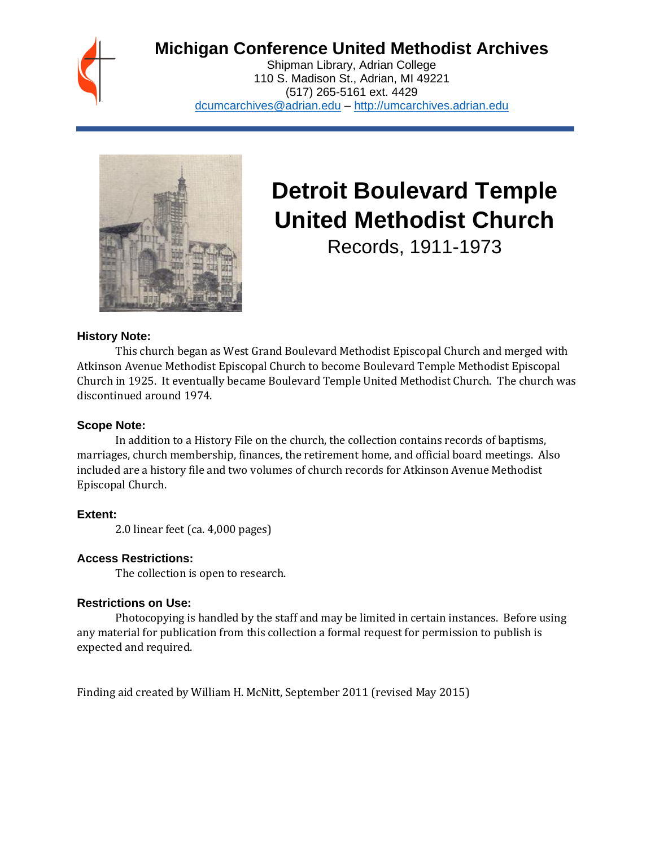

# **Michigan Conference United Methodist Archives**

Shipman Library, Adrian College 110 S. Madison St., Adrian, MI 49221 (517) 265-5161 ext. 4429 [dcumcarchives@adrian.edu](mailto:dcumcarchives@adrian.edu) – [http://umcarchives.adrian.edu](http://umcarchives.adrian.edu/)



# **Detroit Boulevard Temple United Methodist Church**

Records, 1911-1973

#### **History Note:**

This church began as West Grand Boulevard Methodist Episcopal Church and merged with Atkinson Avenue Methodist Episcopal Church to become Boulevard Temple Methodist Episcopal Church in 1925. It eventually became Boulevard Temple United Methodist Church. The church was discontinued around 1974.

#### **Scope Note:**

In addition to a History File on the church, the collection contains records of baptisms, marriages, church membership, finances, the retirement home, and official board meetings. Also included are a history file and two volumes of church records for Atkinson Avenue Methodist Episcopal Church.

#### **Extent:**

2.0 linear feet (ca. 4,000 pages)

#### **Access Restrictions:**

The collection is open to research.

#### **Restrictions on Use:**

Photocopying is handled by the staff and may be limited in certain instances. Before using any material for publication from this collection a formal request for permission to publish is expected and required.

Finding aid created by William H. McNitt, September 2011 (revised May 2015)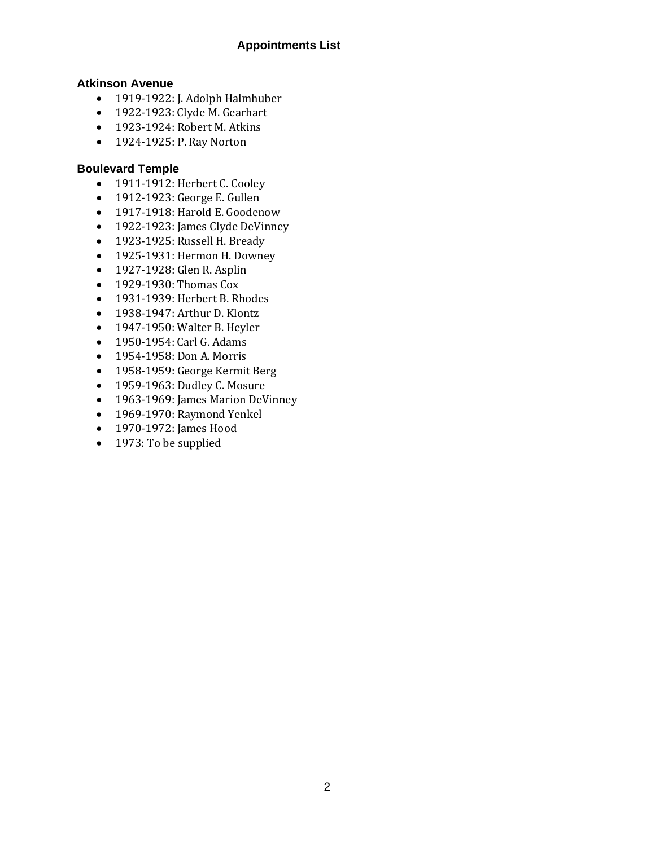# **Appointments List**

## **Atkinson Avenue**

- 1919-1922: J. Adolph Halmhuber
- 1922-1923: Clyde M. Gearhart
- 1923-1924: Robert M. Atkins
- 1924-1925: P. Ray Norton

#### **Boulevard Temple**

- 1911-1912: Herbert C. Cooley
- 1912-1923: George E. Gullen
- 1917-1918: Harold E. Goodenow
- 1922-1923: James Clyde DeVinney
- 1923-1925: Russell H. Bready
- 1925-1931: Hermon H. Downey
- 1927-1928: Glen R. Asplin
- 1929-1930: Thomas Cox
- 1931-1939: Herbert B. Rhodes
- 1938-1947: Arthur D. Klontz
- 1947-1950: Walter B. Heyler
- 1950-1954: Carl G. Adams
- 1954-1958: Don A. Morris
- 1958-1959: George Kermit Berg
- 1959-1963: Dudley C. Mosure
- 1963-1969: James Marion DeVinney
- 1969-1970: Raymond Yenkel
- 1970-1972: James Hood
- 1973: To be supplied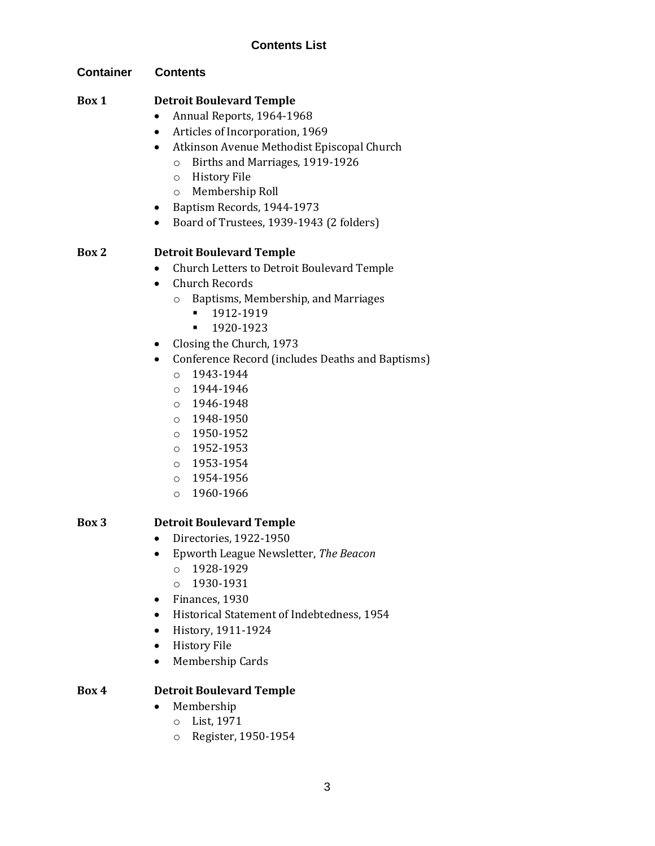# **Contents List**

## **Container Contents**

# **Box 1 Detroit Boulevard Temple**

- Annual Reports, 1964-1968
- Articles of Incorporation, 1969
- Atkinson Avenue Methodist Episcopal Church
	- o Births and Marriages, 1919-1926
	- o History File
	- o Membership Roll
- Baptism Records, 1944-1973
- Board of Trustees, 1939-1943 (2 folders)

# **Box 2 Detroit Boulevard Temple**

- Church Letters to Detroit Boulevard Temple
- Church Records
	- o Baptisms, Membership, and Marriages
		- 1912-1919
		- 1920-1923
- Closing the Church, 1973
- Conference Record (includes Deaths and Baptisms)
	- o 1943-1944
	- o 1944-1946
	- o 1946-1948
	- o 1948-1950
	- o 1950-1952
	- o 1952-1953
	- o 1953-1954
	- o 1954-1956
	- o 1960-1966

# **Box 3 Detroit Boulevard Temple**

- Directories, 1922-1950
- Epworth League Newsletter, *The Beacon*
	- o 1928-1929
	- o 1930-1931
- Finances, 1930
- Historical Statement of Indebtedness, 1954
- History, 1911-1924
- History File
- Membership Cards

#### **Box 4 Detroit Boulevard Temple**

- Membership
	- o List, 1971
	- o Register, 1950-1954